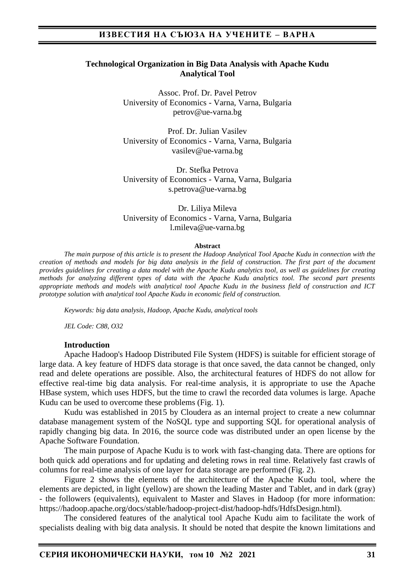### **Technological Organization in Big Data Analysis with Apache Kudu Analytical Tool**

Assoc. Prof. Dr. Pavel Petrov University of Economics - Varna, Varna, Bulgaria petrov@ue-varna.bg

Prof. Dr. Julian Vasilev University of Economics - Varna, Varna, Bulgaria vasilev@ue-varna.bg

Dr. Stefka Petrova University of Economics - Varna, Varna, Bulgaria s.petrova@ue-varna.bg

Dr. Liliya Mileva University of Economics - Varna, Varna, Bulgaria l.mileva@ue-varna.bg

#### **Abstract**

*The main purpose of this article is to present the Hadoop Analytical Tool Apache Kudu in connection with the creation of methods and models for big data analysis in the field of construction. The first part of the document provides guidelines for creating a data model with the Apache Kudu analytics tool, as well as guidelines for creating methods for analyzing different types of data with the Apache Kudu analytics tool. The second part presents appropriate methods and models with analytical tool Apache Kudu in the business field of construction and ICT prototype solution with analytical tool Apache Kudu in economic field of construction.*

*Keywords: big data analysis, Hadoop, Apache Kudu, analytical tools*

*JEL Code: C88, O32*

### **Introduction**

Apache Hadoop's Hadoop Distributed File System (HDFS) is suitable for efficient storage of large data. A key feature of HDFS data storage is that once saved, the data cannot be changed, only read and delete operations are possible. Also, the architectural features of HDFS do not allow for effective real-time big data analysis. For real-time analysis, it is appropriate to use the Apache HBase system, which uses HDFS, but the time to crawl the recorded data volumes is large. Apache Kudu can be used to overcome these problems (Fig. 1).

Kudu was established in 2015 by Cloudera as an internal project to create a new columnar database management system of the NoSQL type and supporting SQL for operational analysis of rapidly changing big data. In 2016, the source code was distributed under an open license by the Apache Software Foundation.

The main purpose of Apache Kudu is to work with fast-changing data. There are options for both quick add operations and for updating and deleting rows in real time. Relatively fast crawls of columns for real-time analysis of one layer for data storage are performed (Fig. 2).

Figure 2 shows the elements of the architecture of the Apache Kudu tool, where the elements are depicted, in light (yellow) are shown the leading Master and Tablet, and in dark (gray) - the followers (equivalents), equivalent to Master and Slaves in Hadoop (for more information: https://hadoop.apache.org/docs/stable/hadoop-project-dist/hadoop-hdfs/HdfsDesign.html).

The considered features of the analytical tool Apache Kudu aim to facilitate the work of specialists dealing with big data analysis. It should be noted that despite the known limitations and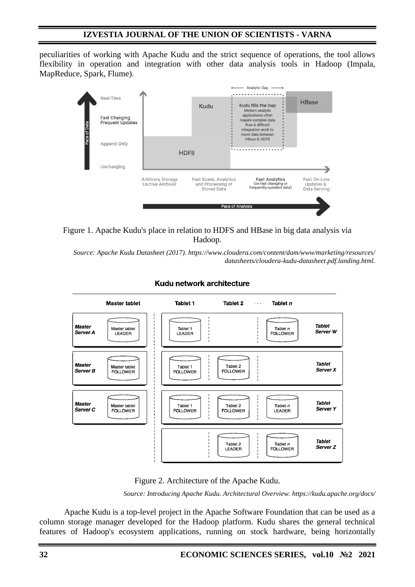peculiarities of working with Apache Kudu and the strict sequence of operations, the tool allows flexibility in operation and integration with other data analysis tools in Hadoop (Impala, MapReduce, Spark, Flume).



## Figure 1. Apache Kudu's place in relation to HDFS and HBase in big data analysis via Hadoop.

*Source: Apache Kudu Datasheet (2017). https://www.cloudera.com/content/dam/www/marketing/resources/ datasheets/cloudera-kudu-datasheet.pdf.landing.html.* 



### Kudu network architecture



*Source: Introducing Apache Kudu. Architectural Overview. https://kudu.apache.org/docs/*

Apache Kudu is a top-level project in the Apache Software Foundation that can be used as a column storage manager developed for the Hadoop platform. Kudu shares the general technical features of Hadoop's ecosystem applications, running on stock hardware, being horizontally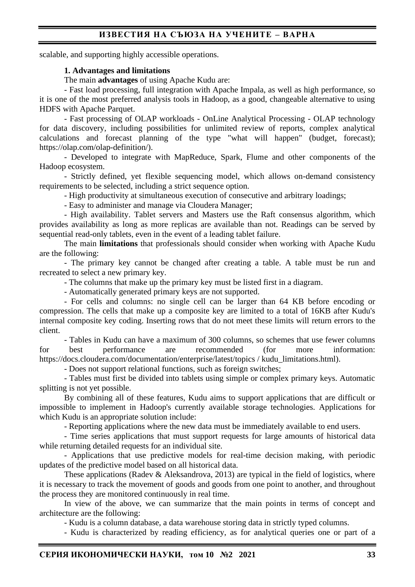scalable, and supporting highly accessible operations.

### **1. Advantages and limitations**

The main **advantages** of using Apache Kudu are:

- Fast load processing, full integration with Apache Impala, as well as high performance, so it is one of the most preferred analysis tools in Hadoop, as a good, changeable alternative to using HDFS with Apache Parquet.

- Fast processing of OLAP workloads - OnLine Analytical Processing - OLAP technology for data discovery, including possibilities for unlimited review of reports, complex analytical calculations and forecast planning of the type "what will happen" (budget, forecast); https://olap.com/olap-definition/).

- Developed to integrate with MapReduce, Spark, Flume and other components of the Hadoop ecosystem.

- Strictly defined, yet flexible sequencing model, which allows on-demand consistency requirements to be selected, including a strict sequence option.

- High productivity at simultaneous execution of consecutive and arbitrary loadings;

- Easy to administer and manage via Cloudera Manager;

- High availability. Tablet servers and Masters use the Raft consensus algorithm, which provides availability as long as more replicas are available than not. Readings can be served by sequential read-only tablets, even in the event of a leading tablet failure.

The main **limitations** that professionals should consider when working with Apache Kudu are the following:

- The primary key cannot be changed after creating a table. A table must be run and recreated to select a new primary key.

- The columns that make up the primary key must be listed first in a diagram.

- Automatically generated primary keys are not supported.

- For cells and columns: no single cell can be larger than 64 KB before encoding or compression. The cells that make up a composite key are limited to a total of 16KB after Kudu's internal composite key coding. Inserting rows that do not meet these limits will return errors to the client.

- Tables in Kudu can have a maximum of 300 columns, so schemes that use fewer columns for best performance are recommended (for more information: https://docs.cloudera.com/documentation/enterprise/latest/topics / kudu\_limitations.html).

- Does not support relational functions, such as foreign switches;

- Tables must first be divided into tablets using simple or complex primary keys. Automatic splitting is not yet possible.

By combining all of these features, Kudu aims to support applications that are difficult or impossible to implement in Hadoop's currently available storage technologies. Applications for which Kudu is an appropriate solution include:

- Reporting applications where the new data must be immediately available to end users.

- Time series applications that must support requests for large amounts of historical data while returning detailed requests for an individual site.

- Applications that use predictive models for real-time decision making, with periodic updates of the predictive model based on all historical data.

These applications (Radev & Aleksandrova, 2013) are typical in the field of logistics, where it is necessary to track the movement of goods and goods from one point to another, and throughout the process they are monitored continuously in real time.

In view of the above, we can summarize that the main points in terms of concept and architecture are the following:

- Kudu is a column database, a data warehouse storing data in strictly typed columns.

- Kudu is characterized by reading efficiency, as for analytical queries one or part of a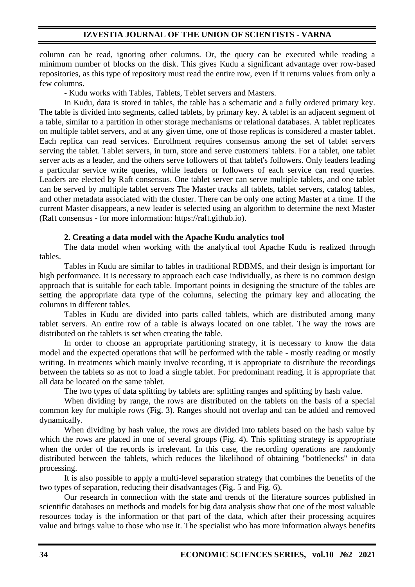column can be read, ignoring other columns. Or, the query can be executed while reading a minimum number of blocks on the disk. This gives Kudu a significant advantage over row-based repositories, as this type of repository must read the entire row, even if it returns values from only a few columns.

- Kudu works with Tables, Tablets, Teblet servers and Masters.

In Kudu, data is stored in tables, the table has a schematic and a fully ordered primary key. The table is divided into segments, called tablets, by primary key. A tablet is an adjacent segment of a table, similar to a partition in other storage mechanisms or relational databases. A tablet replicates on multiple tablet servers, and at any given time, one of those replicas is considered a master tablet. Each replica can read services. Enrollment requires consensus among the set of tablet servers serving the tablet. Tablet servers, in turn, store and serve customers' tablets. For a tablet, one tablet server acts as a leader, and the others serve followers of that tablet's followers. Only leaders leading a particular service write queries, while leaders or followers of each service can read queries. Leaders are elected by Raft consensus. One tablet server can serve multiple tablets, and one tablet can be served by multiple tablet servers The Master tracks all tablets, tablet servers, catalog tables, and other metadata associated with the cluster. There can be only one acting Master at a time. If the current Master disappears, a new leader is selected using an algorithm to determine the next Master (Raft consensus - for more information: https://raft.github.io).

## **2. Creating a data model with the Apache Kudu analytics tool**

The data model when working with the analytical tool Apache Kudu is realized through tables.

Tables in Kudu are similar to tables in traditional RDBMS, and their design is important for high performance. It is necessary to approach each case individually, as there is no common design approach that is suitable for each table. Important points in designing the structure of the tables are setting the appropriate data type of the columns, selecting the primary key and allocating the columns in different tables.

Tables in Kudu are divided into parts called tablets, which are distributed among many tablet servers. An entire row of a table is always located on one tablet. The way the rows are distributed on the tablets is set when creating the table.

In order to choose an appropriate partitioning strategy, it is necessary to know the data model and the expected operations that will be performed with the table - mostly reading or mostly writing. In treatments which mainly involve recording, it is appropriate to distribute the recordings between the tablets so as not to load a single tablet. For predominant reading, it is appropriate that all data be located on the same tablet.

The two types of data splitting by tablets are: splitting ranges and splitting by hash value.

When dividing by range, the rows are distributed on the tablets on the basis of a special common key for multiple rows (Fig. 3). Ranges should not overlap and can be added and removed dynamically.

When dividing by hash value, the rows are divided into tablets based on the hash value by which the rows are placed in one of several groups (Fig. 4). This splitting strategy is appropriate when the order of the records is irrelevant. In this case, the recording operations are randomly distributed between the tablets, which reduces the likelihood of obtaining "bottlenecks" in data processing.

It is also possible to apply a multi-level separation strategy that combines the benefits of the two types of separation, reducing their disadvantages (Fig. 5 and Fig. 6).

Our research in connection with the state and trends of the literature sources published in scientific databases on methods and models for big data analysis show that one of the most valuable resources today is the information or that part of the data, which after their processing acquires value and brings value to those who use it. The specialist who has more information always benefits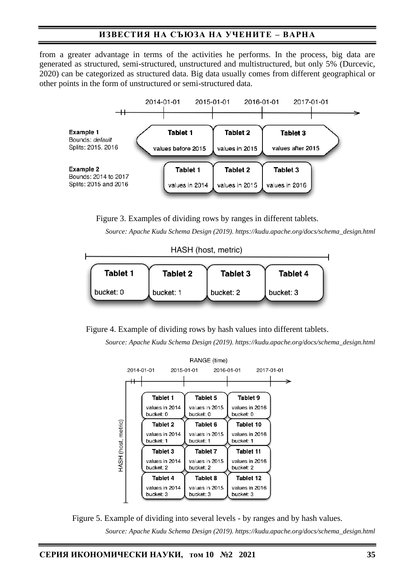from a greater advantage in terms of the activities he performs. In the process, big data are generated as structured, semi-structured, unstructured and multistructured, but only 5% (Durcevic, 2020) can be categorized as structured data. Big data usually comes from different geographical or other points in the form of unstructured or semi-structured data.



Figure 3. Examples of dividing rows by ranges in different tablets.

*Source: Apache Kudu Schema Design (2019). https://kudu.apache.org/docs/schema\_design.html* 

HASH (host, metric)

| Tablet 1  | Tablet 2  | Tablet 3  | <b>Tablet 4</b> |
|-----------|-----------|-----------|-----------------|
| bucket: 0 | bucket: 1 | bucket: 2 | bucket: 3       |

Figure 4. Example of dividing rows by hash values into different tablets.

*Source: Apache Kudu Schema Design (2019). https://kudu.apache.org/docs/schema\_design.html* 



Figure 5. Example of dividing into several levels - by ranges and by hash values. *Source: Apache Kudu Schema Design (2019). https://kudu.apache.org/docs/schema\_design.html*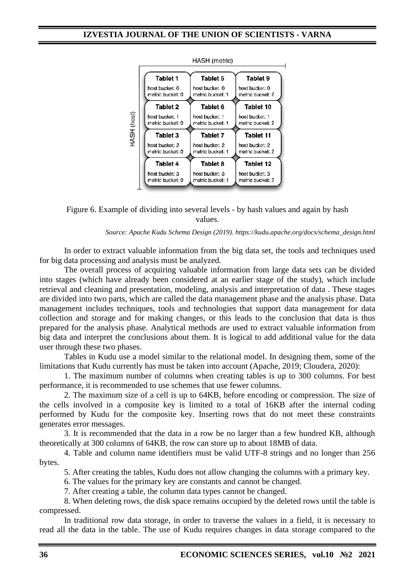

Figure 6. Example of dividing into several levels - by hash values and again by hash values.

### *Source: Apache Kudu Schema Design (2019). https://kudu.apache.org/docs/schema\_design.html*

In order to extract valuable information from the big data set, the tools and techniques used for big data processing and analysis must be analyzed.

The overall process of acquiring valuable information from large data sets can be divided into stages (which have already been considered at an earlier stage of the study), which include retrieval and cleaning and presentation, modeling, analysis and interpretation of data . These stages are divided into two parts, which are called the data management phase and the analysis phase. Data management includes techniques, tools and technologies that support data management for data collection and storage and for making changes, or this leads to the conclusion that data is thus prepared for the analysis phase. Analytical methods are used to extract valuable information from big data and interpret the conclusions about them. It is logical to add additional value for the data user through these two phases.

Tables in Kudu use a model similar to the relational model. In designing them, some of the limitations that Kudu currently has must be taken into account (Apache, 2019; Cloudera, 2020):

1. The maximum number of columns when creating tables is up to 300 columns. For best performance, it is recommended to use schemes that use fewer columns.

2. The maximum size of a cell is up to 64KB, before encoding or compression. The size of the cells involved in a composite key is limited to a total of 16KB after the internal coding performed by Kudu for the composite key. Inserting rows that do not meet these constraints generates error messages.

3. It is recommended that the data in a row be no larger than a few hundred KB, although theoretically at 300 columns of 64KB, the row can store up to about 18MB of data.

4. Table and column name identifiers must be valid UTF-8 strings and no longer than 256 bytes.

5. After creating the tables, Kudu does not allow changing the columns with a primary key.

6. The values for the primary key are constants and cannot be changed.

7. After creating a table, the column data types cannot be changed.

8. When deleting rows, the disk space remains occupied by the deleted rows until the table is compressed.

In traditional row data storage, in order to traverse the values in a field, it is necessary to read all the data in the table. The use of Kudu requires changes in data storage compared to the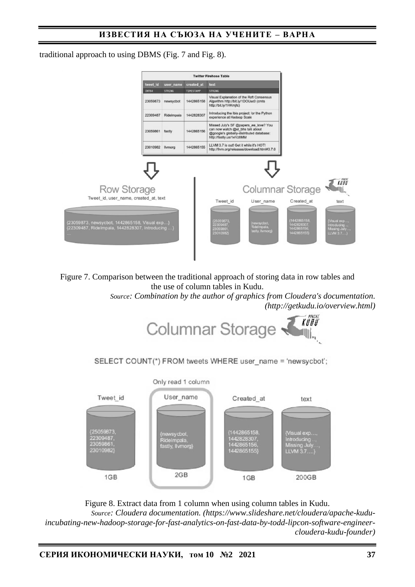traditional approach to using DBMS (Fig. 7 and Fig. 8).



Figure 7. Comparison between the traditional approach of storing data in row tables and the use of column tables in Kudu.

> *Source: Combination by the author of graphics from Cloudera's documentation. (http://getkudu.io/overview.html)*



SELECT COUNT(\*) FROM tweets WHERE user name = 'newsycbot';



Figure 8. Extract data from 1 column when using column tables in Kudu. *Source: Cloudera documentation. (https://www.slideshare.net/cloudera/apache-kuduincubating-new-hadoop-storage-for-fast-analytics-on-fast-data-by-todd-lipcon-software-engineercloudera-kudu-founder)*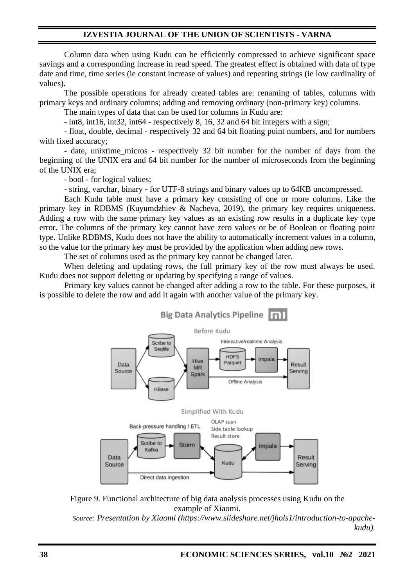Column data when using Kudu can be efficiently compressed to achieve significant space savings and a corresponding increase in read speed. The greatest effect is obtained with data of type date and time, time series (ie constant increase of values) and repeating strings (ie low cardinality of values).

The possible operations for already created tables are: renaming of tables, columns with primary keys and ordinary columns; adding and removing ordinary (non-primary key) columns.

The main types of data that can be used for columns in Kudu are:

- int8, int16, int32, int64 - respectively 8, 16, 32 and 64 bit integers with a sign;

- float, double, decimal - respectively 32 and 64 bit floating point numbers, and for numbers with fixed accuracy;

- date, unixtime\_micros - respectively 32 bit number for the number of days from the beginning of the UNIX era and 64 bit number for the number of microseconds from the beginning of the UNIX era;

- bool - for logical values;

- string, varchar, binary - for UTF-8 strings and binary values up to 64KB uncompressed.

Each Kudu table must have a primary key consisting of one or more columns. Like the primary key in RDBMS (Kuyumdzhiev & Nacheva, 2019), the primary key requires uniqueness. Adding a row with the same primary key values as an existing row results in a duplicate key type error. The columns of the primary key cannot have zero values or be of Boolean or floating point type. Unlike RDBMS, Kudu does not have the ability to automatically increment values in a column, so the value for the primary key must be provided by the application when adding new rows.

The set of columns used as the primary key cannot be changed later.

When deleting and updating rows, the full primary key of the row must always be used. Kudu does not support deleting or updating by specifying a range of values.

Primary key values cannot be changed after adding a row to the table. For these purposes, it is possible to delete the row and add it again with another value of the primary key.





*Source: Presentation by Xiaomi (https://www.slideshare.net/jhols1/introduction-to-apachekudu).*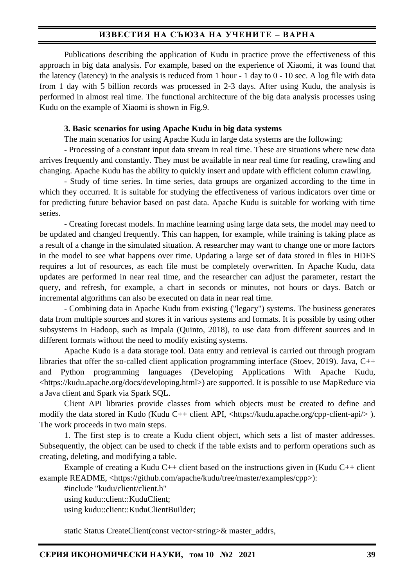Publications describing the application of Kudu in practice prove the effectiveness of this approach in big data analysis. For example, based on the experience of Xiaomi, it was found that the latency (latency) in the analysis is reduced from 1 hour - 1 day to 0 - 10 sec. A log file with data from 1 day with 5 billion records was processed in 2-3 days. After using Kudu, the analysis is performed in almost real time. The functional architecture of the big data analysis processes using Kudu on the example of Xiaomi is shown in Fig.9.

### **3. Basic scenarios for using Apache Kudu in big data systems**

The main scenarios for using Apache Kudu in large data systems are the following:

- Processing of a constant input data stream in real time. These are situations where new data arrives frequently and constantly. They must be available in near real time for reading, crawling and changing. Apache Kudu has the ability to quickly insert and update with efficient column crawling.

- Study of time series. In time series, data groups are organized according to the time in which they occurred. It is suitable for studying the effectiveness of various indicators over time or for predicting future behavior based on past data. Apache Kudu is suitable for working with time series.

- Creating forecast models. In machine learning using large data sets, the model may need to be updated and changed frequently. This can happen, for example, while training is taking place as a result of a change in the simulated situation. A researcher may want to change one or more factors in the model to see what happens over time. Updating a large set of data stored in files in HDFS requires a lot of resources, as each file must be completely overwritten. In Apache Kudu, data updates are performed in near real time, and the researcher can adjust the parameter, restart the query, and refresh, for example, a chart in seconds or minutes, not hours or days. Batch or incremental algorithms can also be executed on data in near real time.

- Combining data in Apache Kudu from existing ("legacy") systems. The business generates data from multiple sources and stores it in various systems and formats. It is possible by using other subsystems in Hadoop, such as Impala (Quinto, 2018), to use data from different sources and in different formats without the need to modify existing systems.

Apache Kudo is a data storage tool. Data entry and retrieval is carried out through program libraries that offer the so-called client application programming interface (Stoev, 2019). Java, C++ and Python programming languages (Developing Applications With Apache Kudu, <https://kudu.apache.org/docs/developing.html>) are supported. It is possible to use MapReduce via a Java client and Spark via Spark SQL.

Client API libraries provide classes from which objects must be created to define and modify the data stored in Kudo (Kudu C++ client API, <https://kudu.apache.org/cpp-client-api/> ). The work proceeds in two main steps.

1. The first step is to create a Kudu client object, which sets a list of master addresses. Subsequently, the object can be used to check if the table exists and to perform operations such as creating, deleting, and modifying a table.

Example of creating a Kudu  $C_{++}$  client based on the instructions given in (Kudu  $C_{++}$  client example README, <https://github.com/apache/kudu/tree/master/examples/cpp>):

#include "kudu/client/client.h" using kudu::client::KuduClient; using kudu::client::KuduClientBuilder;

static Status CreateClient(const vector<string>& master\_addrs,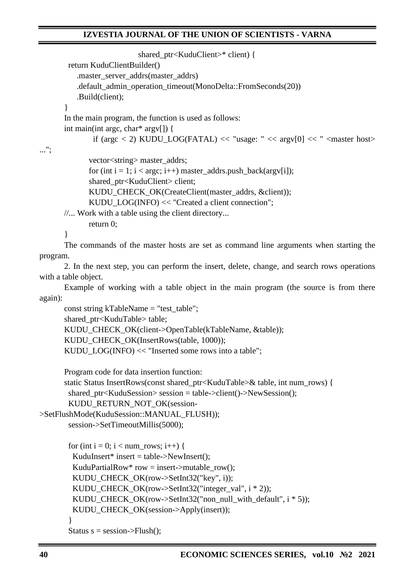```
shared_ptr<KuduClient>* client) {
```

```
 return KuduClientBuilder()
```
.master\_server\_addrs(master\_addrs)

.default\_admin\_operation\_timeout(MonoDelta::FromSeconds(20))

.Build(client);

}

In the main program, the function is used as follows:

int main(int argc, char\* argv[]) {

if (argc < 2) KUDU LOG(FATAL) << "usage: " <<  $\arg[v(0)]$  << " <  $\arg[v(0)]$  << " <  $\arg[v(0)]$  < "

...";

vector<string> master\_addrs;

for (int  $i = 1$ ;  $i < argc$ ;  $i++)$  master\_addrs.push\_back( $argv[i]$ ); shared\_ptr<KuduClient> client: KUDU\_CHECK\_OK(CreateClient(master\_addrs, &client)); KUDU\_LOG(INFO) << "Created a client connection";

//... Work with a table using the client directory...

return 0;

}

The commands of the master hosts are set as command line arguments when starting the program.

2. In the next step, you can perform the insert, delete, change, and search rows operations with a table object.

Example of working with a table object in the main program (the source is from there again):

const string kTableName = "test\_table"; shared\_ptr<KuduTable> table; KUDU\_CHECK\_OK(client->OpenTable(kTableName, &table)); KUDU\_CHECK\_OK(InsertRows(table, 1000)); KUDU\_LOG(INFO) << "Inserted some rows into a table";

Program code for data insertion function:

static Status InsertRows(const shared\_ptr<KuduTable>& table, int num\_rows) { shared  $ptr session = table->client()->NewSession()$ ; KUDU\_RETURN\_NOT\_OK(session-

>SetFlushMode(KuduSession::MANUAL\_FLUSH));

session->SetTimeoutMillis(5000);

```
for (int i = 0; i < num_rows; i++) {
 KuduInsert* insert = table->NewInsert();
KuduPartialRow* row = insert->mutable_row();
KUDU_CHECK_OK(row->SetInt32("key", i));
KUDU_CHECK_OK(row->SetInt32("integer_val", i * 2));
 KUDU_CHECK_OK(row->SetInt32("non_null_with_default", i * 5));
 KUDU_CHECK_OK(session->Apply(insert));
 }
```
Status  $s =$  session->Flush();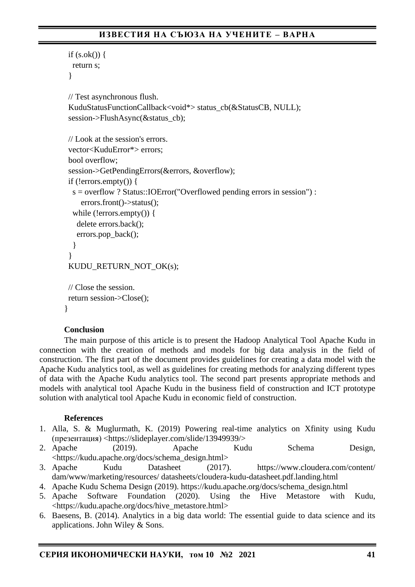```
if (s. ok() ) {
   return s;
  }
 // Test asynchronous flush.
 KuduStatusFunctionCallback<void*> status_cb(&StatusCB, NULL);
 session->FlushAsync(&status_cb);
 // Look at the session's errors.
 vector<KuduError*> errors;
 bool overflow;
 session->GetPendingErrors(&errors, &overflow);
if (!errors.empty()) {
   s = overflow ? Status::IOError("Overflowed pending errors in session") :
     errors.front()->status();
   while (!errors.empty()) {
    delete errors.back();
    errors.pop_back();
   }
  }
 KUDU_RETURN_NOT_OK(s);
 // Close the session.
 return session->Close();
}
```
# **Conclusion**

The main purpose of this article is to present the Hadoop Analytical Tool Apache Kudu in connection with the creation of methods and models for big data analysis in the field of construction. The first part of the document provides guidelines for creating a data model with the Apache Kudu analytics tool, as well as guidelines for creating methods for analyzing different types of data with the Apache Kudu analytics tool. The second part presents appropriate methods and models with analytical tool Apache Kudu in the business field of construction and ICT prototype solution with analytical tool Apache Kudu in economic field of construction.

# **References**

- 1. Alla, S. & Muglurmath, K. (2019) Powering real-time analytics on Xfinity using Kudu (презентация) <https://slideplayer.com/slide/13949939/>
- 2. Apache (2019). Apache Kudu Schema Design, <https://kudu.apache.org/docs/schema\_design.html>
- 3. Apache Kudu Datasheet (2017). https://www.cloudera.com/content/ dam/www/marketing/resources/ datasheets/cloudera-kudu-datasheet.pdf.landing.html
- 4. Apache Kudu Schema Design (2019). https://kudu.apache.org/docs/schema\_design.html
- 5. Apache Software Foundation (2020). Using the Hive Metastore with Kudu, <https://kudu.apache.org/docs/hive\_metastore.html>
- 6. Baesens, B. (2014). Analytics in a big data world: The essential guide to data science and its applications. John Wiley & Sons.